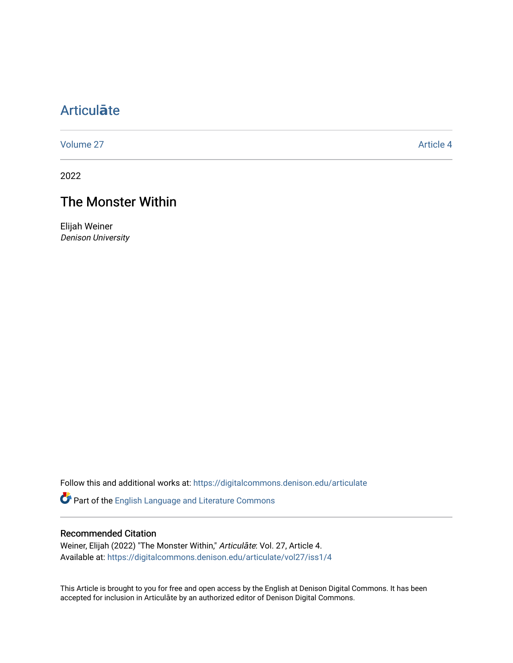# [Articul](https://digitalcommons.denison.edu/articulate)**ā**te

[Volume 27](https://digitalcommons.denison.edu/articulate/vol27) Article 4

2022

## The Monster Within

Elijah Weiner Denison University

Follow this and additional works at: [https://digitalcommons.denison.edu/articulate](https://digitalcommons.denison.edu/articulate?utm_source=digitalcommons.denison.edu%2Farticulate%2Fvol27%2Fiss1%2F4&utm_medium=PDF&utm_campaign=PDFCoverPages)

Part of the [English Language and Literature Commons](https://network.bepress.com/hgg/discipline/455?utm_source=digitalcommons.denison.edu%2Farticulate%2Fvol27%2Fiss1%2F4&utm_medium=PDF&utm_campaign=PDFCoverPages)

#### Recommended Citation

Weiner, Elijah (2022) "The Monster Within," Articulāte: Vol. 27, Article 4. Available at: [https://digitalcommons.denison.edu/articulate/vol27/iss1/4](https://digitalcommons.denison.edu/articulate/vol27/iss1/4?utm_source=digitalcommons.denison.edu%2Farticulate%2Fvol27%2Fiss1%2F4&utm_medium=PDF&utm_campaign=PDFCoverPages)

This Article is brought to you for free and open access by the English at Denison Digital Commons. It has been accepted for inclusion in Articulāte by an authorized editor of Denison Digital Commons.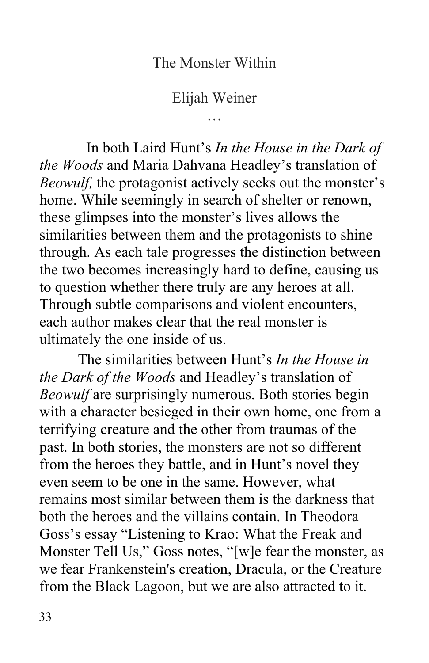### The Monster Within

Elijah Weiner …

 *the Woods* and Maria Dahvana Headley's translation of home. While seemingly in search of shelter or renown, similarities between them and the protagonists to shine Through subtle comparisons and violent encounters, each author makes clear that the real monster is ultimately the one inside of us. In both Laird Hunt's *In the House in the Dark of Beowulf,* the protagonist actively seeks out the monster's these glimpses into the monster's lives allows the through. As each tale progresses the distinction between the two becomes increasingly hard to define, causing us to question whether there truly are any heroes at all.

 The similarities between Hunt's *In the House in the Dark of the Woods* and Headley's translation of *Beowulf* are surprisingly numerous. Both stories begin with a character besieged in their own home, one from a past. In both stories, the monsters are not so different from the heroes they battle, and in Hunt's novel they even seem to be one in the same. However, what remains most similar between them is the darkness that both the heroes and the villains contain. In Theodora Goss's essay "Listening to Krao: What the Freak and Monster Tell Us," Goss notes, "[w]e fear the monster, as we fear Frankenstein's creation, Dracula, or the Creature from the Black Lagoon, but we are also attracted to it. terrifying creature and the other from traumas of the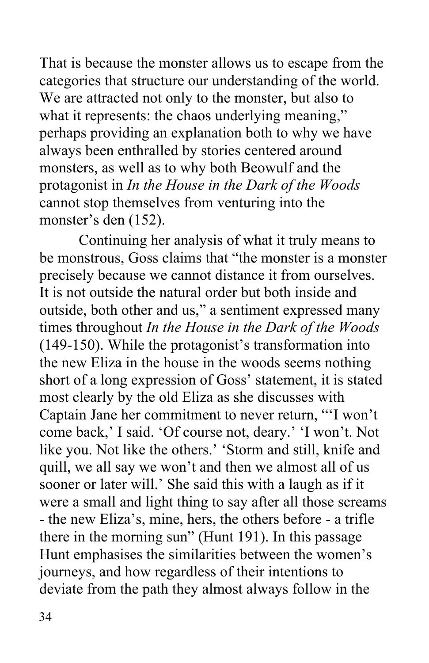That is because the monster allows us to escape from the categories that structure our understanding of the world. We are attracted not only to the monster, but also to what it represents: the chaos underlying meaning," perhaps providing an explanation both to why we have always been enthralled by stories centered around monsters, as well as to why both Beowulf and the  protagonist in *In the House in the Dark of the Woods*  cannot stop themselves from venturing into the monster's den (152).

 Continuing her analysis of what it truly means to be monstrous, Goss claims that "the monster is a monster precisely because we cannot distance it from ourselves. It is not outside the natural order but both inside and outside, both other and us," a sentiment expressed many  times throughout *In the House in the Dark of the Woods*  (149-150). While the protagonist's transformation into short of a long expression of Goss' statement, it is stated most clearly by the old Eliza as she discusses with Captain Jane her commitment to never return, "'I won't come back,' I said. 'Of course not, deary.' 'I won't. Not quill, we all say we won't and then we almost all of us sooner or later will.' She said this with a laugh as if it were a small and light thing to say after all those screams - the new Eliza's, mine, hers, the others before - a trifle Hunt emphasises the similarities between the women's deviate from the path they almost always follow in the the new Eliza in the house in the woods seems nothing like you. Not like the others.' 'Storm and still, knife and there in the morning sun" (Hunt 191). In this passage journeys, and how regardless of their intentions to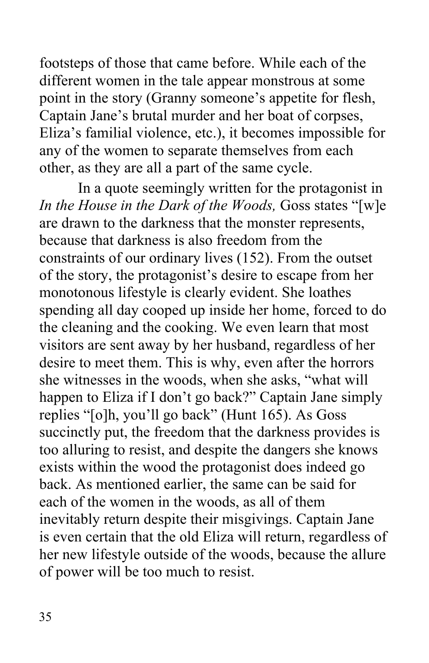footsteps of those that came before. While each of the different women in the tale appear monstrous at some point in the story (Granny someone's appetite for flesh, Captain Jane's brutal murder and her boat of corpses, Eliza's familial violence, etc.), it becomes impossible for any of the women to separate themselves from each other, as they are all a part of the same cycle.

 In a quote seemingly written for the protagonist in  *In the House in the Dark of the Woods,* Goss states "[w]e are drawn to the darkness that the monster represents, because that darkness is also freedom from the constraints of our ordinary lives (152). From the outset of the story, the protagonist's desire to escape from her monotonous lifestyle is clearly evident. She loathes spending all day cooped up inside her home, forced to do visitors are sent away by her husband, regardless of her desire to meet them. This is why, even after the horrors she witnesses in the woods, when she asks, "what will happen to Eliza if I don't go back?" Captain Jane simply replies "[o]h, you'll go back" (Hunt 165). As Goss succinctly put, the freedom that the darkness provides is exists within the wood the protagonist does indeed go back. As mentioned earlier, the same can be said for each of the women in the woods, as all of them her new lifestyle outside of the woods, because the allure of power will be too much to resist. the cleaning and the cooking. We even learn that most too alluring to resist, and despite the dangers she knows inevitably return despite their misgivings. Captain Jane is even certain that the old Eliza will return, regardless of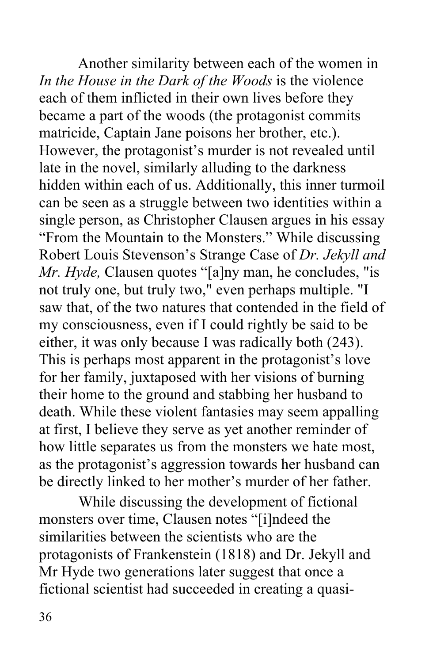Another similarity between each of the women in  *In the House in the Dark of the Woods* is the violence each of them inflicted in their own lives before they became a part of the woods (the protagonist commits matricide, Captain Jane poisons her brother, etc.). However, the protagonist's murder is not revealed until hidden within each of us. Additionally, this inner turmoil can be seen as a struggle between two identities within a single person, as Christopher Clausen argues in his essay "From the Mountain to the Monsters." While discussing Robert Louis Stevenson's Strange Case of *Dr. Jekyll and Mr. Hyde, Clausen quotes* "[a]ny man, he concludes, "is not truly one, but truly two," even perhaps multiple. "I saw that, of the two natures that contended in the field of my consciousness, even if I could rightly be said to be either, it was only because I was radically both (243). This is perhaps most apparent in the protagonist's love for her family, juxtaposed with her visions of burning death. While these violent fantasies may seem appalling at first, I believe they serve as yet another reminder of how little separates us from the monsters we hate most, as the protagonist's aggression towards her husband can be directly linked to her mother's murder of her father. late in the novel, similarly alluding to the darkness their home to the ground and stabbing her husband to

 While discussing the development of fictional monsters over time, Clausen notes "[i]ndeed the protagonists of Frankenstein (1818) and Dr. Jekyll and Mr Hyde two generations later suggest that once a fictional scientist had succeeded in creating a quasisimilarities between the scientists who are the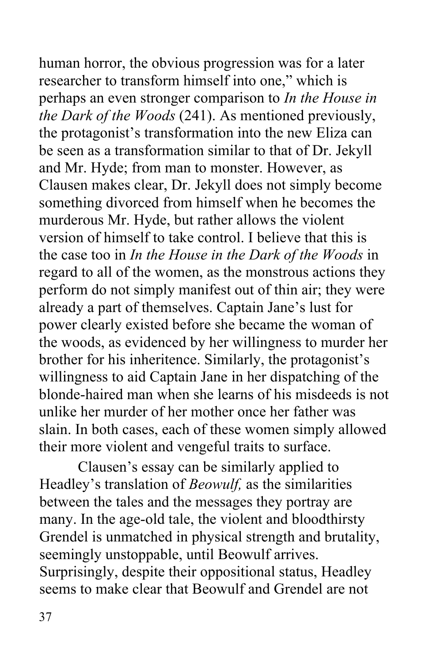human horror, the obvious progression was for a later researcher to transform himself into one," which is  perhaps an even stronger comparison to *In the House in the Dark of the Woods* (241). As mentioned previously, be seen as a transformation similar to that of Dr. Jekyll and Mr. Hyde; from man to monster. However, as Clausen makes clear, Dr. Jekyll does not simply become something divorced from himself when he becomes the murderous Mr. Hyde, but rather allows the violent version of himself to take control. I believe that this is  the case too in *In the House in the Dark of the Woods* in regard to all of the women, as the monstrous actions they perform do not simply manifest out of thin air; they were already a part of themselves. Captain Jane's lust for power clearly existed before she became the woman of brother for his inheritence. Similarly, the protagonist's willingness to aid Captain Jane in her dispatching of the blonde-haired man when she learns of his misdeeds is not unlike her murder of her mother once her father was slain. In both cases, each of these women simply allowed the protagonist's transformation into the new Eliza can the woods, as evidenced by her willingness to murder her

 their more violent and vengeful traits to surface. Clausen's essay can be similarly applied to Clausen's essay can be similarly applied to between the tales and the messages they portray are many. In the age-old tale, the violent and bloodthirsty Grendel is unmatched in physical strength and brutality, seemingly unstoppable, until Beowulf arrives. Surprisingly, despite their oppositional status, Headley Headley's translation of *Beowulf,* as the similarities seems to make clear that Beowulf and Grendel are not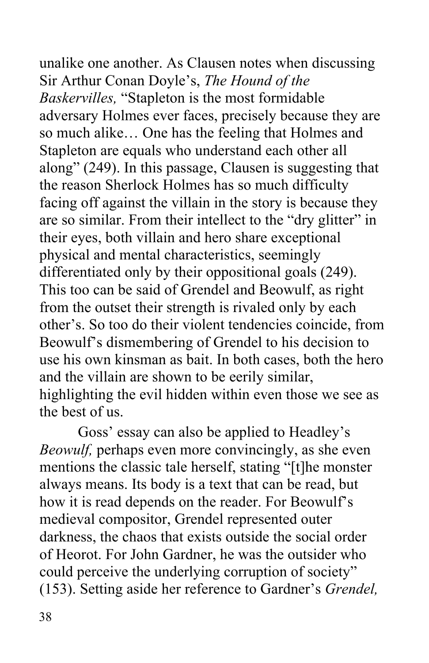unalike one another. As Clausen notes when discussing Sir Arthur Conan Doyle's, *The Hound of the Baskervilles,* "Stapleton is the most formidable adversary Holmes ever faces, precisely because they are so much alike… One has the feeling that Holmes and Stapleton are equals who understand each other all along" (249). In this passage, Clausen is suggesting that facing off against the villain in the story is because they are so similar. From their intellect to the "dry glitter" in physical and mental characteristics, seemingly differentiated only by their oppositional goals (249). This too can be said of Grendel and Beowulf, as right from the outset their strength is rivaled only by each other's. So too do their violent tendencies coincide, from Beowulf's dismembering of Grendel to his decision to use his own kinsman as bait. In both cases, both the hero and the villain are shown to be eerily similar, highlighting the evil hidden within even those we see as the best of us. the reason Sherlock Holmes has so much difficulty their eyes, both villain and hero share exceptional

 the best of us. Goss' essay can also be applied to Headley's *Beowulf,* perhaps even more convincingly, as she even mentions the classic tale herself, stating "[t]he monster always means. Its body is a text that can be read, but how it is read depends on the reader. For Beowulf's medieval compositor, Grendel represented outer darkness, the chaos that exists outside the social order of Heorot. For John Gardner, he was the outsider who could perceive the underlying corruption of society" (153). Setting aside her reference to Gardner's *Grendel,*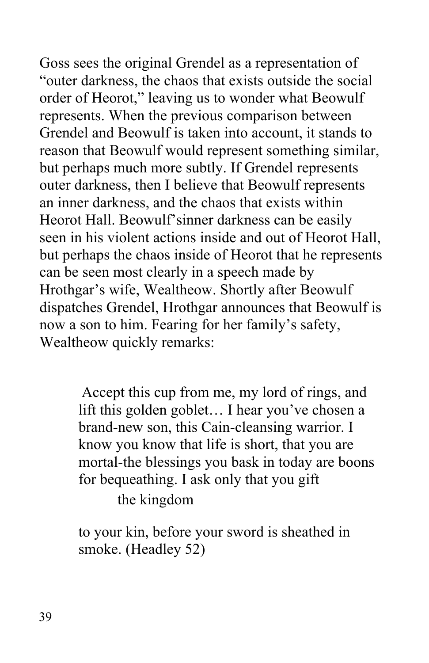Goss sees the original Grendel as a representation of "outer darkness, the chaos that exists outside the social order of Heorot," leaving us to wonder what Beowulf represents. When the previous comparison between Grendel and Beowulf is taken into account, it stands to reason that Beowulf would represent something similar, but perhaps much more subtly. If Grendel represents outer darkness, then I believe that Beowulf represents an inner darkness, and the chaos that exists within Heorot Hall. Beowulf'sinner darkness can be easily seen in his violent actions inside and out of Heorot Hall, but perhaps the chaos inside of Heorot that he represents can be seen most clearly in a speech made by Hrothgar's wife, Wealtheow. Shortly after Beowulf dispatches Grendel, Hrothgar announces that Beowulf is now a son to him. Fearing for her family's safety, Wealtheow quickly remarks:

> Accept this cup from me, my lord of rings, and brand-new son, this Cain-cleansing warrior. I know you know that life is short, that you are mortal-the blessings you bask in today are boons for bequeathing. I ask only that you gift lift this golden goblet… I hear you've chosen a

the kingdom

 smoke. (Headley 52) to your kin, before your sword is sheathed in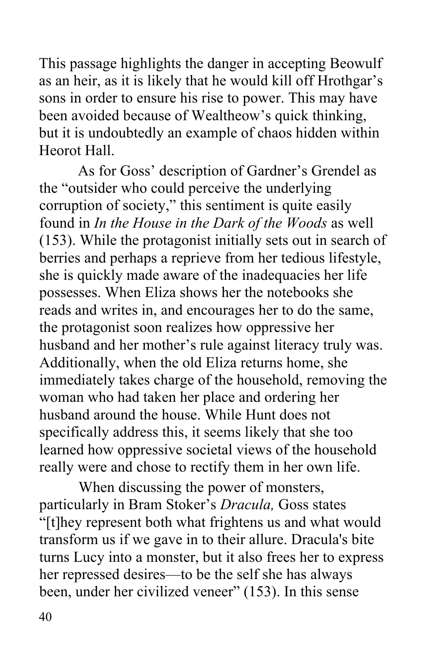This passage highlights the danger in accepting Beowulf as an heir, as it is likely that he would kill off Hrothgar's sons in order to ensure his rise to power. This may have been avoided because of Wealtheow's quick thinking, but it is undoubtedly an example of chaos hidden within Heorot Hall.

 Heorot Hall. As for Goss' description of Gardner's Grendel as corruption of society," this sentiment is quite easily found in *In the House in the Dark of the Woods* as well (153). While the protagonist initially sets out in search of berries and perhaps a reprieve from her tedious lifestyle, possesses. When Eliza shows her the notebooks she reads and writes in, and encourages her to do the same, husband and her mother's rule against literacy truly was. Additionally, when the old Eliza returns home, she immediately takes charge of the household, removing the woman who had taken her place and ordering her husband around the house. While Hunt does not specifically address this, it seems likely that she too really were and chose to rectify them in her own life. the "outsider who could perceive the underlying she is quickly made aware of the inadequacies her life the protagonist soon realizes how oppressive her learned how oppressive societal views of the household

 When discussing the power of monsters, particularly in Bram Stoker's *Dracula,* Goss states "[t]hey represent both what frightens us and what would been, under her civilized veneer" (153). In this sense transform us if we gave in to their allure. Dracula's bite turns Lucy into a monster, but it also frees her to express her repressed desires—to be the self she has always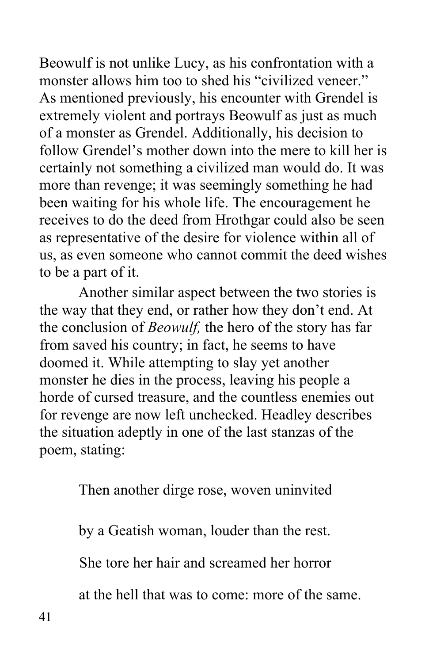Beowulf is not unlike Lucy, as his confrontation with a monster allows him too to shed his "civilized veneer." As mentioned previously, his encounter with Grendel is extremely violent and portrays Beowulf as just as much of a monster as Grendel. Additionally, his decision to follow Grendel's mother down into the mere to kill her is certainly not something a civilized man would do. It was more than revenge; it was seemingly something he had been waiting for his whole life. The encouragement he receives to do the deed from Hrothgar could also be seen as representative of the desire for violence within all of us, as even someone who cannot commit the deed wishes to be a part of it.

 Another similar aspect between the two stories is from saved his country; in fact, he seems to have doomed it. While attempting to slay yet another monster he dies in the process, leaving his people a horde of cursed treasure, and the countless enemies out for revenge are now left unchecked. Headley describes poem, stating: poem, stating: Then another dirge rose, woven uninvited the way that they end, or rather how they don't end. At the conclusion of *Beowulf,* the hero of the story has far the situation adeptly in one of the last stanzas of the

by a Geatish woman, louder than the rest.

She tore her hair and screamed her horror

at the hell that was to come: more of the same.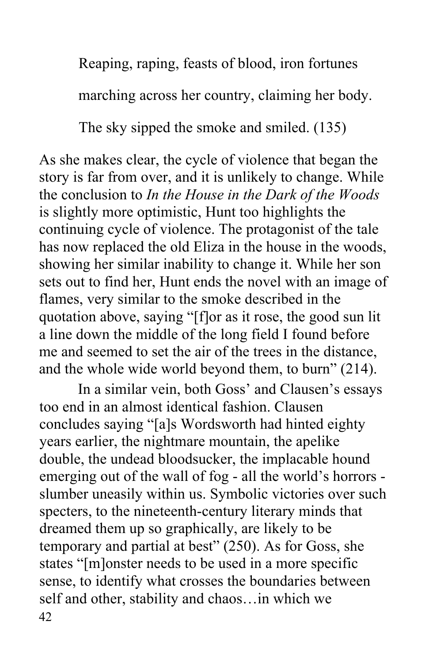Reaping, raping, feasts of blood, iron fortunes

marching across her country, claiming her body.

The sky sipped the smoke and smiled. (135)

 As she makes clear, the cycle of violence that began the story is far from over, and it is unlikely to change. While  the conclusion to *In the House in the Dark of the Woods*  continuing cycle of violence. The protagonist of the tale has now replaced the old Eliza in the house in the woods, showing her similar inability to change it. While her son sets out to find her, Hunt ends the novel with an image of flames, very similar to the smoke described in the quotation above, saying "[f]or as it rose, the good sun lit a line down the middle of the long field I found before me and seemed to set the air of the trees in the distance, and the whole wide world beyond them, to burn" (214). is slightly more optimistic, Hunt too highlights the

 In a similar vein, both Goss' and Clausen's essays concludes saying "[a]s Wordsworth had hinted eighty years earlier, the nightmare mountain, the apelike double, the undead bloodsucker, the implacable hound emerging out of the wall of fog - all the world's horrors - slumber uneasily within us. Symbolic victories over such specters, to the nineteenth-century literary minds that dreamed them up so graphically, are likely to be states "[m]onster needs to be used in a more specific sense, to identify what crosses the boundaries between self and other, stability and chaos…in which we too end in an almost identical fashion. Clausen temporary and partial at best" (250). As for Goss, she  $42$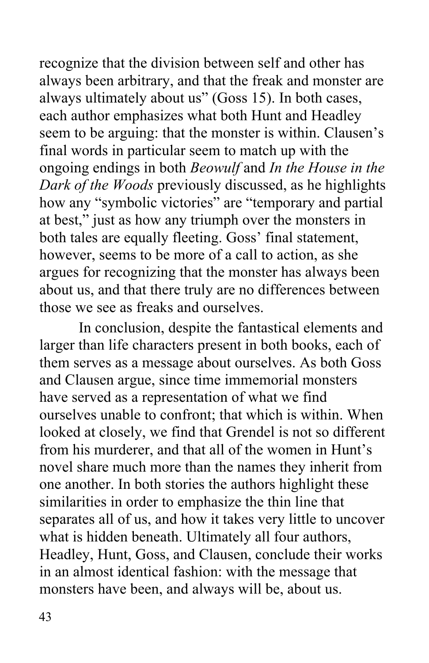recognize that the division between self and other has always been arbitrary, and that the freak and monster are always ultimately about us" (Goss 15). In both cases, each author emphasizes what both Hunt and Headley seem to be arguing: that the monster is within. Clausen's final words in particular seem to match up with the  ongoing endings in both *Beowulf* and *In the House in the Dark of the Woods* previously discussed, as he highlights how any "symbolic victories" are "temporary and partial at best," just as how any triumph over the monsters in both tales are equally fleeting. Goss' final statement, however, seems to be more of a call to action, as she argues for recognizing that the monster has always been about us, and that there truly are no differences between those we see as freaks and ourselves

 those we see as freaks and ourselves. In conclusion, despite the fantastical elements and larger than life characters present in both books, each of and Clausen argue, since time immemorial monsters have served as a representation of what we find ourselves unable to confront; that which is within. When from his murderer, and that all of the women in Hunt's novel share much more than the names they inherit from one another. In both stories the authors highlight these similarities in order to emphasize the thin line that separates all of us, and how it takes very little to uncover what is hidden beneath. Ultimately all four authors, Headley, Hunt, Goss, and Clausen, conclude their works them serves as a message about ourselves. As both Goss looked at closely, we find that Grendel is not so different in an almost identical fashion: with the message that monsters have been, and always will be, about us.